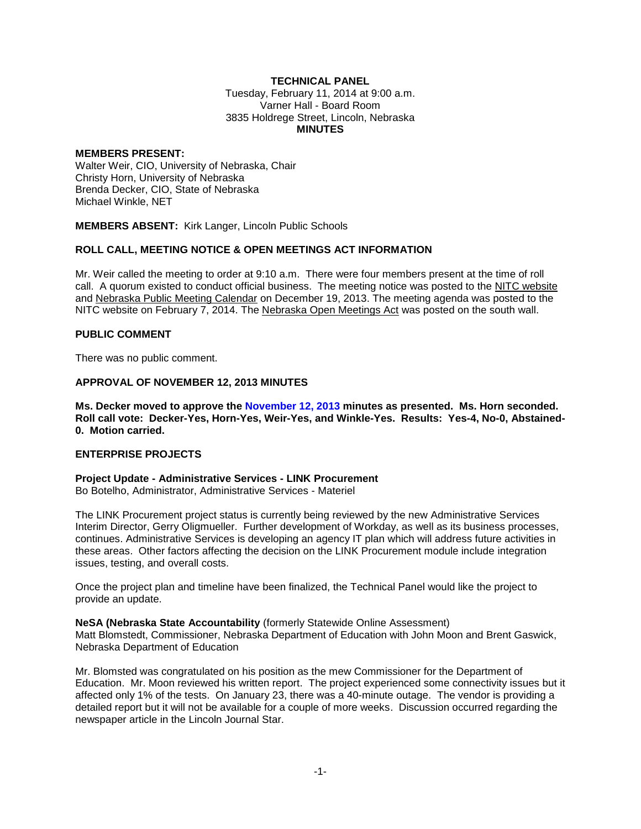## **TECHNICAL PANEL**

Tuesday, February 11, 2014 at 9:00 a.m. Varner Hall - Board Room 3835 Holdrege Street, Lincoln, Nebraska **MINUTES**

#### **MEMBERS PRESENT:**

Walter Weir, CIO, University of Nebraska, Chair Christy Horn, University of Nebraska Brenda Decker, CIO, State of Nebraska Michael Winkle, NET

**MEMBERS ABSENT:** Kirk Langer, Lincoln Public Schools

### **ROLL CALL, MEETING NOTICE & OPEN MEETINGS ACT INFORMATION**

Mr. Weir called the meeting to order at 9:10 a.m. There were four members present at the time of roll call. A quorum existed to conduct official business. The meeting notice was posted to the [NITC website](http://nitc.nebraska.gov/) and [Nebraska Public Meeting Calendar](https://www.nebraska.gov/calendar/index.cgi) on December 19, 2013. The meeting agenda was posted to the NITC website on February 7, 2014. The [Nebraska Open Meetings Act](http://nitc.nebraska.gov/documents/statutes/NebraskaOpenMeetingsAct_20130906.pdf) was posted on the south wall.

### **PUBLIC COMMENT**

There was no public comment.

### **APPROVAL OF NOVEMBER 12, 2013 MINUTES**

**Ms. Decker moved to approve the [November 12, 2013](http://nitc.nebraska.gov/technical_panel/meetings/documents/20140211/2013-11-12.pdf) minutes as presented. Ms. Horn seconded. Roll call vote: Decker-Yes, Horn-Yes, Weir-Yes, and Winkle-Yes. Results: Yes-4, No-0, Abstained-0. Motion carried.**

### **ENTERPRISE PROJECTS**

**Project Update - Administrative Services - LINK Procurement** Bo Botelho, Administrator, Administrative Services - Materiel

The LINK Procurement project status is currently being reviewed by the new Administrative Services Interim Director, Gerry Oligmueller. Further development of Workday, as well as its business processes, continues. Administrative Services is developing an agency IT plan which will address future activities in these areas. Other factors affecting the decision on the LINK Procurement module include integration issues, testing, and overall costs.

Once the project plan and timeline have been finalized, the Technical Panel would like the project to provide an update.

### **NeSA (Nebraska State Accountability** (formerly Statewide Online Assessment)

Matt Blomstedt, Commissioner, Nebraska Department of Education with John Moon and Brent Gaswick, Nebraska Department of Education

Mr. Blomsted was congratulated on his position as the mew Commissioner for the Department of Education. Mr. Moon reviewed his written report. The project experienced some connectivity issues but it affected only 1% of the tests. On January 23, there was a 40-minute outage. The vendor is providing a detailed report but it will not be available for a couple of more weeks. Discussion occurred regarding the newspaper article in the Lincoln Journal Star.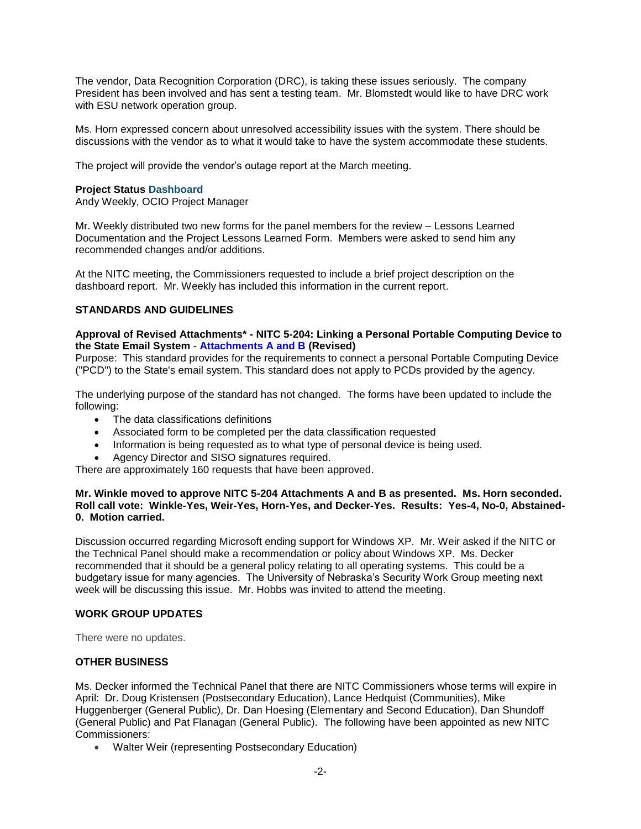The vendor, Data Recognition Corporation (DRC), is taking these issues seriously. The company President has been involved and has sent a testing team. Mr. Blomstedt would like to have DRC work with ESU network operation group.

Ms. Horn expressed concern about unresolved accessibility issues with the system. There should be discussions with the vendor as to what it would take to have the system accommodate these students.

The project will provide the vendor's outage report at the March meeting.

### **Project Status [Dashboard](http://nitc.nebraska.gov/technical_panel/meetings/documents/20140211/NITC%20Dashboard%20-%202014-02.pdf)**

Andy Weekly, OCIO Project Manager

Mr. Weekly distributed two new forms for the panel members for the review – Lessons Learned Documentation and the Project Lessons Learned Form. Members were asked to send him any recommended changes and/or additions.

At the NITC meeting, the Commissioners requested to include a brief project description on the dashboard report. Mr. Weekly has included this information in the current report.

## **STANDARDS AND GUIDELINES**

### **Approval of Revised Attachments\* - NITC 5-204: Linking a Personal Portable Computing Device to the State Email System - [Attachments A and B](http://nitc.nebraska.gov/technical_panel/meetings/documents/20140211/Binder2.pdf) (Revised)**

Purpose: This standard provides for the requirements to connect a personal Portable Computing Device ("PCD") to the State's email system. This standard does not apply to PCDs provided by the agency.

The underlying purpose of the standard has not changed. The forms have been updated to include the following:

- The data classifications definitions
- Associated form to be completed per the data classification requested
- Information is being requested as to what type of personal device is being used.
- Agency Director and SISO signatures required.

There are approximately 160 requests that have been approved.

### **Mr. Winkle moved to approve NITC 5-204 Attachments A and B as presented. Ms. Horn seconded. Roll call vote: Winkle-Yes, Weir-Yes, Horn-Yes, and Decker-Yes. Results: Yes-4, No-0, Abstained-0. Motion carried.**

Discussion occurred regarding Microsoft ending support for Windows XP. Mr. Weir asked if the NITC or the Technical Panel should make a recommendation or policy about Windows XP. Ms. Decker recommended that it should be a general policy relating to all operating systems. This could be a budgetary issue for many agencies. The University of Nebraska's Security Work Group meeting next week will be discussing this issue. Mr. Hobbs was invited to attend the meeting.

### **WORK GROUP UPDATES**

There were no updates.

# **OTHER BUSINESS**

Ms. Decker informed the Technical Panel that there are NITC Commissioners whose terms will expire in April: Dr. Doug Kristensen (Postsecondary Education), Lance Hedquist (Communities), Mike Huggenberger (General Public), Dr. Dan Hoesing (Elementary and Second Education), Dan Shundoff (General Public) and Pat Flanagan (General Public). The following have been appointed as new NITC Commissioners:

Walter Weir (representing Postsecondary Education)